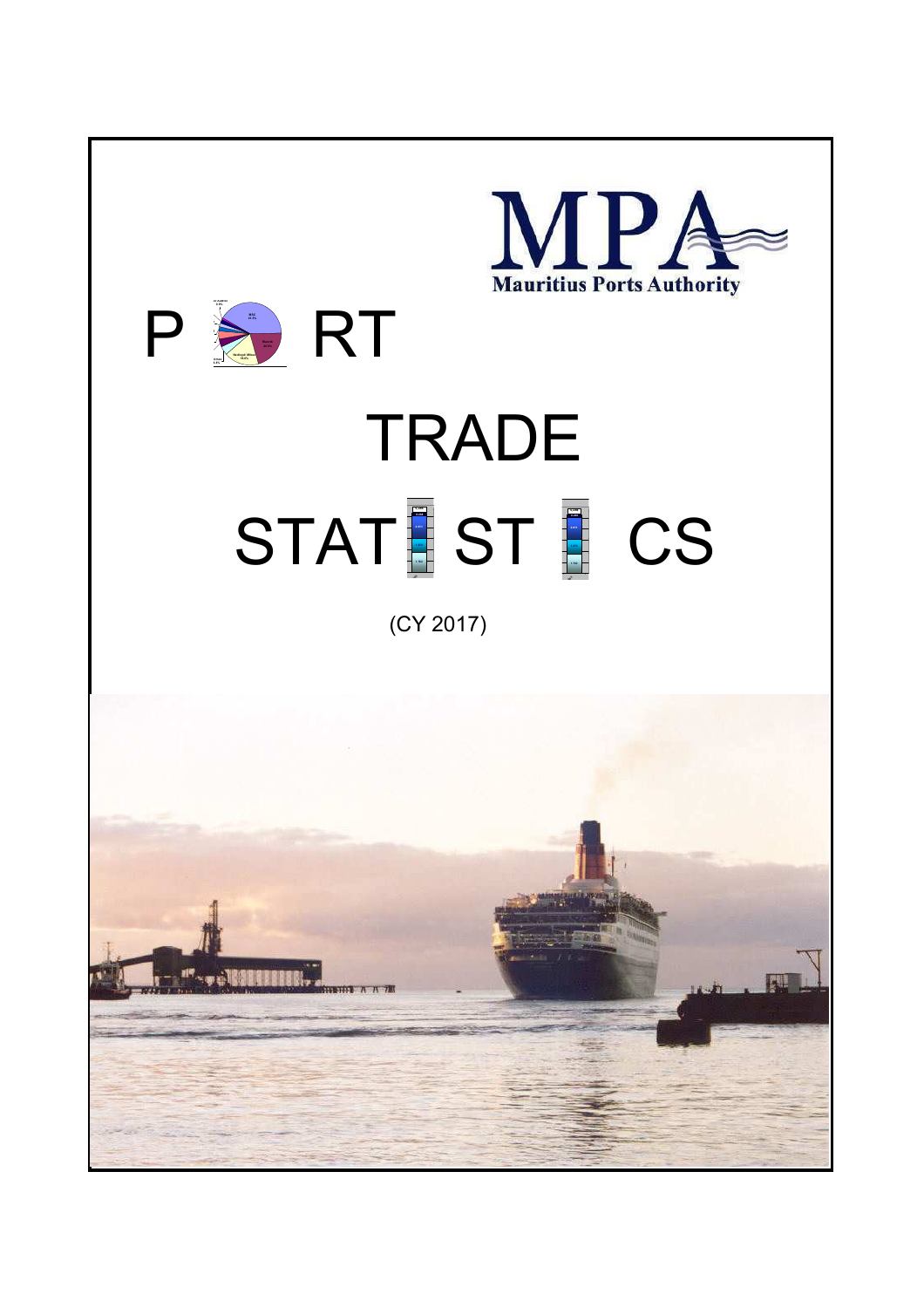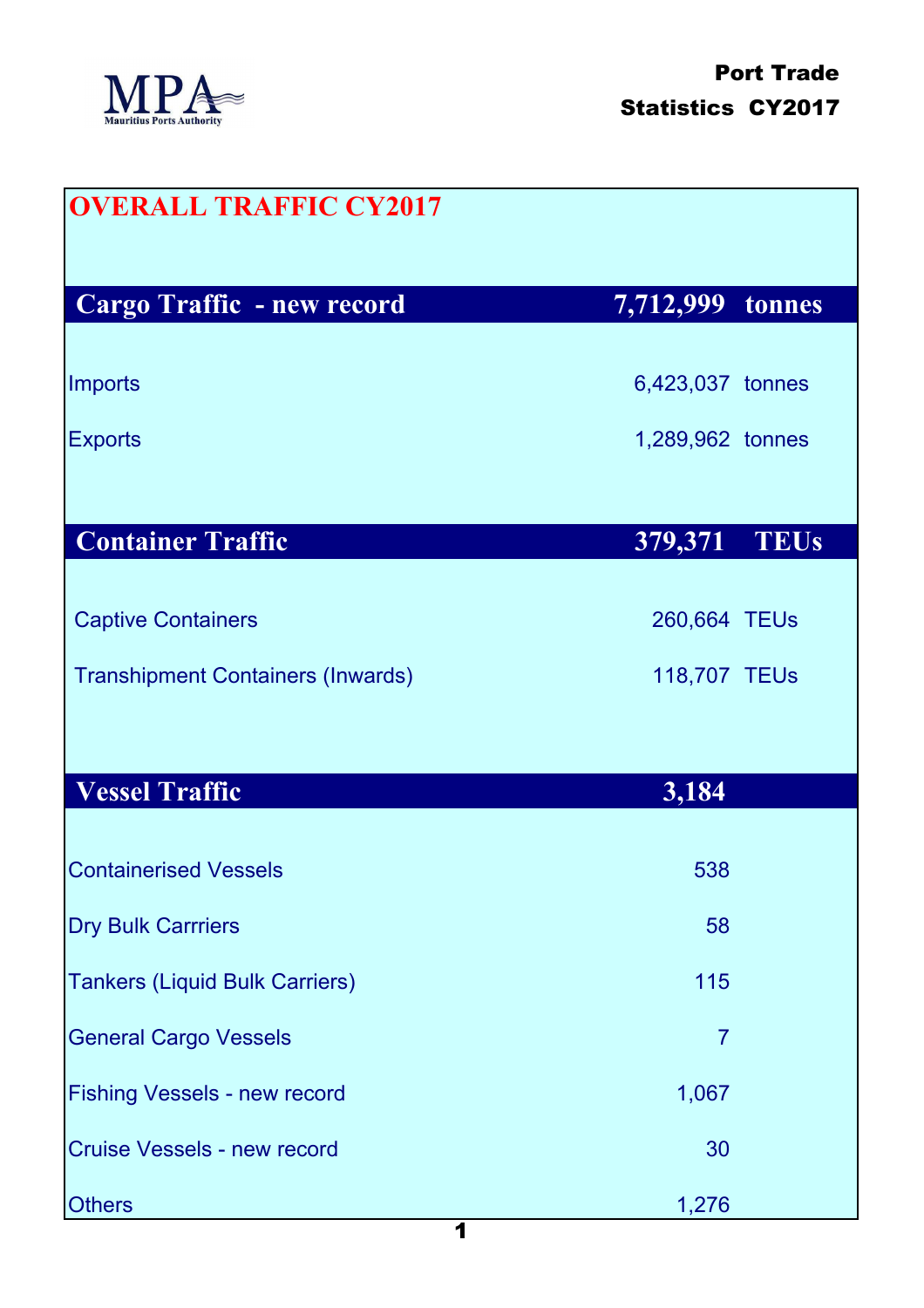

| <b>OVERALL TRAFFIC CY2017</b>            |                        |
|------------------------------------------|------------------------|
| Cargo Traffic - new record               | 7,712,999<br>tonnes    |
| <b>Imports</b>                           | 6,423,037 tonnes       |
| <b>Exports</b>                           | 1,289,962 tonnes       |
|                                          |                        |
| <b>Container Traffic</b>                 | 379,371<br><b>TEUs</b> |
| <b>Captive Containers</b>                | 260,664 TEUs           |
| <b>Transhipment Containers (Inwards)</b> | 118,707 TEUs           |
|                                          |                        |
| <b>Vessel Traffic</b>                    | 3,184                  |
| <b>Containerised Vessels</b>             | 538                    |
| <b>Dry Bulk Carrriers</b>                | 58                     |
| <b>Tankers (Liquid Bulk Carriers)</b>    | 115                    |
| <b>General Cargo Vessels</b>             | $\overline{7}$         |
| <b>Fishing Vessels - new record</b>      | 1,067                  |
| <b>Cruise Vessels - new record</b>       | 30                     |
| <b>Others</b>                            | 1,276                  |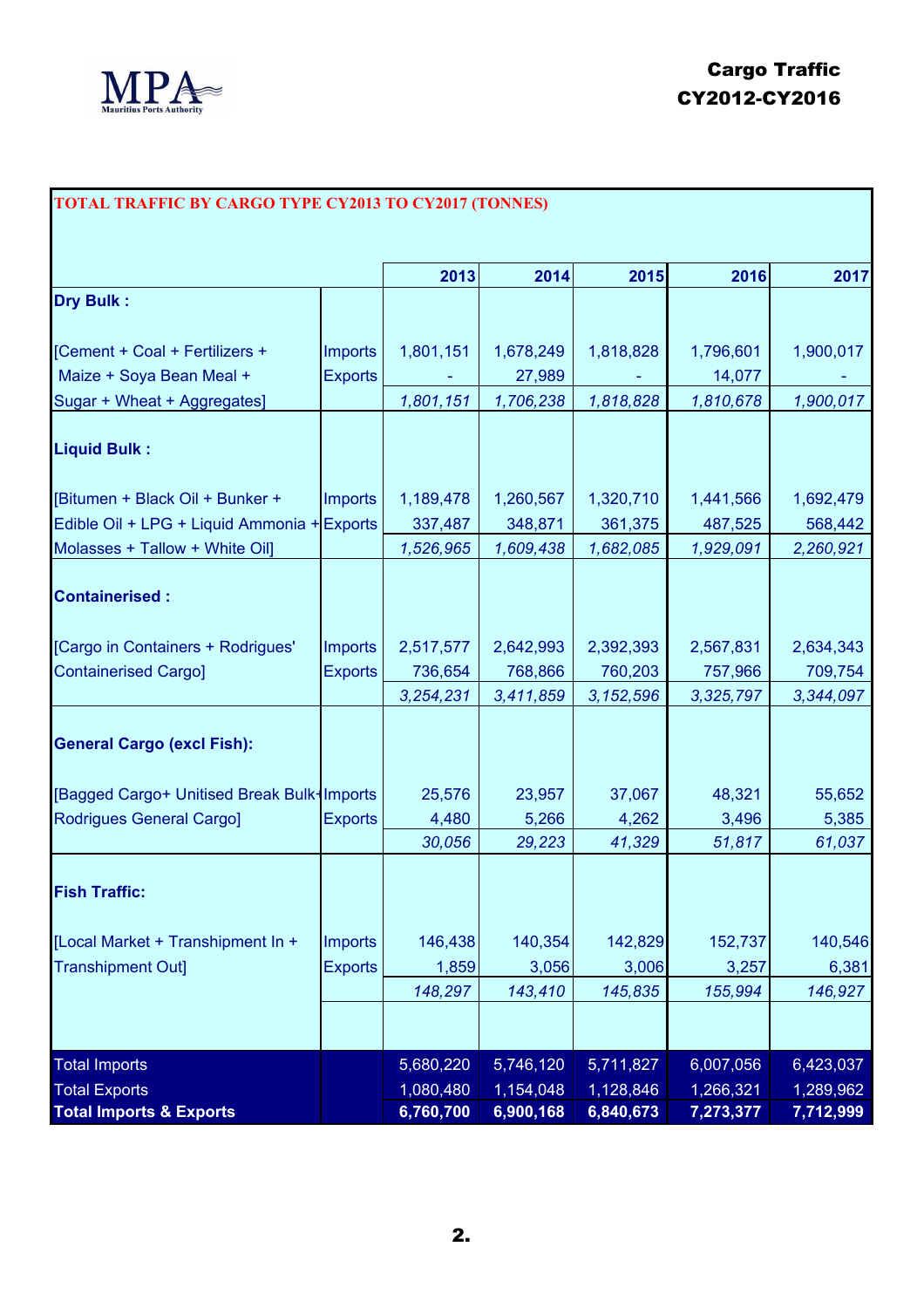

## **TOTAL TRAFFIC BY CARGO TYPE CY2013 TO CY2017 (TONNES)**

|                                             |                | 2013      | 2014      | 2015        | 2016      | 2017      |
|---------------------------------------------|----------------|-----------|-----------|-------------|-----------|-----------|
| <b>Dry Bulk:</b>                            |                |           |           |             |           |           |
| [Cement + Coal + Fertilizers +              | <b>Imports</b> | 1,801,151 | 1,678,249 | 1,818,828   | 1,796,601 | 1,900,017 |
| Maize + Soya Bean Meal +                    | <b>Exports</b> |           | 27,989    |             | 14,077    |           |
| Sugar + Wheat + Aggregates]                 |                | 1,801,151 | 1,706,238 | 1,818,828   | 1,810,678 | 1,900,017 |
|                                             |                |           |           |             |           |           |
| <b>Liquid Bulk:</b>                         |                |           |           |             |           |           |
| [Bitumen + Black Oil + Bunker +             | <b>Imports</b> | 1,189,478 | 1,260,567 | 1,320,710   | 1,441,566 | 1,692,479 |
| Edible Oil + LPG + Liquid Ammonia + Exports |                | 337,487   | 348,871   | 361,375     | 487,525   | 568,442   |
| Molasses + Tallow + White Oil]              |                | 1,526,965 | 1,609,438 | 1,682,085   | 1,929,091 | 2,260,921 |
|                                             |                |           |           |             |           |           |
| <b>Containerised:</b>                       |                |           |           |             |           |           |
| [Cargo in Containers + Rodrigues'           | <b>Imports</b> | 2,517,577 | 2,642,993 | 2,392,393   | 2,567,831 | 2,634,343 |
| <b>Containerised Cargo]</b>                 | <b>Exports</b> | 736,654   | 768,866   | 760,203     | 757,966   | 709,754   |
|                                             |                | 3,254,231 | 3,411,859 | 3, 152, 596 | 3,325,797 | 3,344,097 |
| <b>General Cargo (excl Fish):</b>           |                |           |           |             |           |           |
|                                             |                |           |           |             |           |           |
| [Bagged Cargo+ Unitised Break Bulk-Imports  |                | 25,576    | 23,957    | 37,067      | 48,321    | 55,652    |
| <b>Rodrigues General Cargo]</b>             | <b>Exports</b> | 4,480     | 5,266     | 4,262       | 3,496     | 5,385     |
|                                             |                | 30,056    | 29,223    | 41,329      | 51,817    | 61,037    |
|                                             |                |           |           |             |           |           |
| <b>Fish Traffic:</b>                        |                |           |           |             |           |           |
| [Local Market + Transhipment In +           | Imports        | 146,438   | 140,354   | 142,829     | 152,737   | 140,546   |
| <b>Transhipment Out]</b>                    | <b>Exports</b> | 1,859     | 3,056     | 3,006       | 3,257     | 6,381     |
|                                             |                | 148,297   | 143,410   | 145,835     | 155,994   | 146,927   |
|                                             |                |           |           |             |           |           |
| <b>Total Imports</b>                        |                | 5,680,220 | 5,746,120 | 5,711,827   | 6,007,056 | 6,423,037 |
| <b>Total Exports</b>                        |                | 1,080,480 | 1,154,048 | 1,128,846   | 1,266,321 | 1,289,962 |
| <b>Total Imports &amp; Exports</b>          |                | 6,760,700 | 6,900,168 | 6,840,673   | 7,273,377 | 7,712,999 |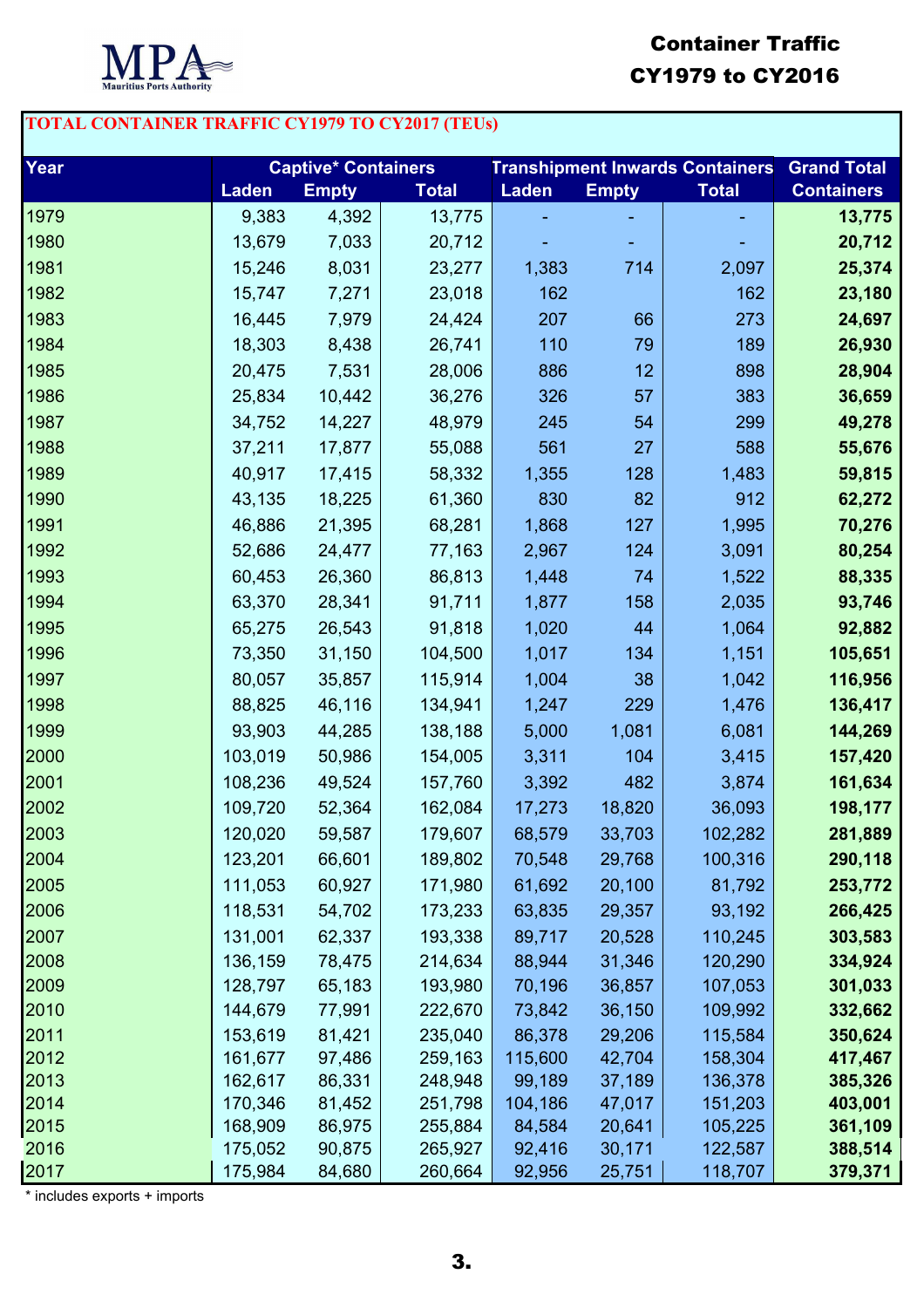

## Container Traffic CY1979 to CY2016

## **TOTAL CONTAINER TRAFFIC CY1979 TO CY2017 (TEUs)**

| Year         | <b>Captive* Containers</b> |                  |                    | <b>Transhipment Inwards Containers</b> |                  |                    | <b>Grand Total</b> |
|--------------|----------------------------|------------------|--------------------|----------------------------------------|------------------|--------------------|--------------------|
|              | <b>Laden</b>               | <b>Empty</b>     | <b>Total</b>       | <b>Laden</b>                           | <b>Empty</b>     | <b>Total</b>       | <b>Containers</b>  |
| 1979         | 9,383                      | 4,392            | 13,775             |                                        |                  |                    | 13,775             |
| 1980         | 13,679                     | 7,033            | 20,712             |                                        |                  |                    | 20,712             |
| 1981         | 15,246                     | 8,031            | 23,277             | 1,383                                  | 714              | 2,097              | 25,374             |
| 1982         | 15,747                     | 7,271            | 23,018             | 162                                    |                  | 162                | 23,180             |
| 1983         | 16,445                     | 7,979            | 24,424             | 207                                    | 66               | 273                | 24,697             |
| 1984         | 18,303                     | 8,438            | 26,741             | 110                                    | 79               | 189                | 26,930             |
| 1985         | 20,475                     | 7,531            | 28,006             | 886                                    | 12               | 898                | 28,904             |
| 1986         | 25,834                     | 10,442           | 36,276             | 326                                    | 57               | 383                | 36,659             |
| 1987         | 34,752                     | 14,227           | 48,979             | 245                                    | 54               | 299                | 49,278             |
| 1988         | 37,211                     | 17,877           | 55,088             | 561                                    | 27               | 588                | 55,676             |
| 1989         | 40,917                     | 17,415           | 58,332             | 1,355                                  | 128              | 1,483              | 59,815             |
| 1990         | 43,135                     | 18,225           | 61,360             | 830                                    | 82               | 912                | 62,272             |
| 1991         | 46,886                     | 21,395           | 68,281             | 1,868                                  | 127              | 1,995              | 70,276             |
| 1992         | 52,686                     | 24,477           | 77,163             | 2,967                                  | 124              | 3,091              | 80,254             |
| 1993         | 60,453                     | 26,360           | 86,813             | 1,448                                  | 74               | 1,522              | 88,335             |
| 1994         | 63,370                     | 28,341           | 91,711             | 1,877                                  | 158              | 2,035              | 93,746             |
| 1995         | 65,275                     | 26,543           | 91,818             | 1,020                                  | 44               | 1,064              | 92,882             |
| 1996         | 73,350                     | 31,150           | 104,500            | 1,017                                  | 134              | 1,151              | 105,651            |
| 1997         | 80,057                     | 35,857           | 115,914            | 1,004                                  | 38               | 1,042              | 116,956            |
| 1998         | 88,825                     | 46,116           | 134,941            | 1,247                                  | 229              | 1,476              | 136,417            |
| 1999         | 93,903                     | 44,285           | 138,188            | 5,000                                  | 1,081            | 6,081              | 144,269            |
| 2000         | 103,019                    | 50,986           | 154,005            | 3,311                                  | 104              | 3,415              | 157,420            |
| 2001         | 108,236                    | 49,524           | 157,760            | 3,392                                  | 482              | 3,874              | 161,634            |
| 2002         | 109,720                    | 52,364           | 162,084            | 17,273                                 | 18,820           | 36,093             | 198,177            |
| 2003         | 120,020                    | 59,587           | 179,607            | 68,579                                 | 33,703           | 102,282            | 281,889            |
| 2004         | 123,201                    | 66,601           | 189,802            | 70,548                                 | 29,768           | 100,316            | 290,118            |
| 2005         | 111,053                    | 60,927           | 171,980            | 61,692                                 | 20,100           | 81,792             | 253,772            |
| 2006         | 118,531                    | 54,702           | 173,233            | 63,835                                 | 29,357           | 93,192             | 266,425            |
| 2007         | 131,001                    | 62,337           | 193,338            | 89,717                                 | 20,528           | 110,245            | 303,583            |
| 2008         | 136,159                    | 78,475           | 214,634            | 88,944                                 | 31,346           | 120,290            | 334,924            |
| 2009         | 128,797                    | 65,183           | 193,980            | 70,196                                 | 36,857           | 107,053            | 301,033            |
| 2010         | 144,679                    | 77,991           | 222,670            | 73,842                                 | 36,150           | 109,992            | 332,662            |
| 2011         | 153,619                    | 81,421           | 235,040            | 86,378                                 | 29,206           | 115,584            | 350,624            |
| 2012         | 161,677                    | 97,486           | 259,163            | 115,600                                | 42,704           | 158,304            | 417,467            |
| 2013         | 162,617                    | 86,331           | 248,948            | 99,189                                 | 37,189           | 136,378            | 385,326            |
| 2014         | 170,346                    | 81,452           | 251,798            | 104,186                                | 47,017           | 151,203            | 403,001            |
| 2015<br>2016 | 168,909<br>175,052         | 86,975<br>90,875 | 255,884<br>265,927 | 84,584<br>92,416                       | 20,641<br>30,171 | 105,225<br>122,587 | 361,109<br>388,514 |
| 2017         | 175,984                    | 84,680           | 260,664            | 92,956                                 | 25,751           | 118,707            | 379,371            |
|              |                            |                  |                    |                                        |                  |                    |                    |

\* includes exports + imports